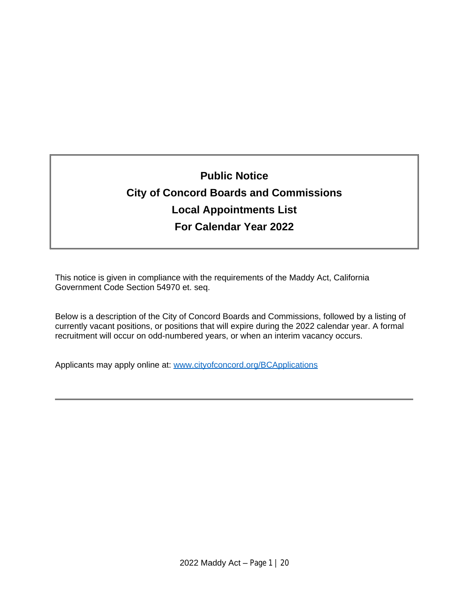# **Public Notice City of Concord Boards and Commissions Local Appointments List For Calendar Year 2022**

This notice is given in compliance with the requirements of the Maddy Act, California Government Code Section 54970 et. seq.

Below is a description of the City of Concord Boards and Commissions, followed by a listing of currently vacant positions, or positions that will expire during the 2022 calendar year. A formal recruitment will occur on odd-numbered years, or when an interim vacancy occurs.

Applicants may apply online at: [www.cityofconcord.org/BCApplications](http://www.cityofconcord.org/BCApplications)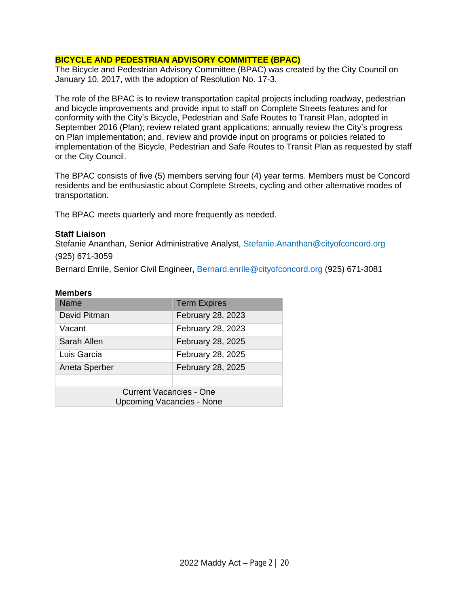## **BICYCLE AND PEDESTRIAN ADVISORY COMMITTEE (BPAC)**

The Bicycle and Pedestrian Advisory Committee (BPAC) was created by the City Council on January 10, 2017, with the adoption of Resolution No. 17-3.

The role of the BPAC is to review transportation capital projects including roadway, pedestrian and bicycle improvements and provide input to staff on Complete Streets features and for conformity with the City's Bicycle, Pedestrian and Safe Routes to Transit Plan, adopted in September 2016 (Plan); review related grant applications; annually review the City's progress on Plan implementation; and, review and provide input on programs or policies related to implementation of the Bicycle, Pedestrian and Safe Routes to Transit Plan as requested by staff or the City Council.

The BPAC consists of five (5) members serving four (4) year terms. Members must be Concord residents and be enthusiastic about Complete Streets, cycling and other alternative modes of transportation.

The BPAC meets quarterly and more frequently as needed.

#### **Staff Liaison**

Stefanie Ananthan, Senior Administrative Analyst, [Stefanie.Ananthan@cityofconcord.org](mailto:Stefanie.Ananthan@cityofconcord.org) (925) 671-3059

Bernard Enrile, Senior Civil Engineer, [Bernard.enrile@cityofconcord.org](mailto:Bernard.enrile@cityofconcord.org) (925) 671-3081

| Name                             | <b>Term Expires</b> |
|----------------------------------|---------------------|
| David Pitman                     | February 28, 2023   |
| Vacant                           | February 28, 2023   |
| Sarah Allen                      | February 28, 2025   |
| Luis Garcia                      | February 28, 2025   |
| Aneta Sperber                    | February 28, 2025   |
|                                  |                     |
| <b>Current Vacancies - One</b>   |                     |
| <b>Upcoming Vacancies - None</b> |                     |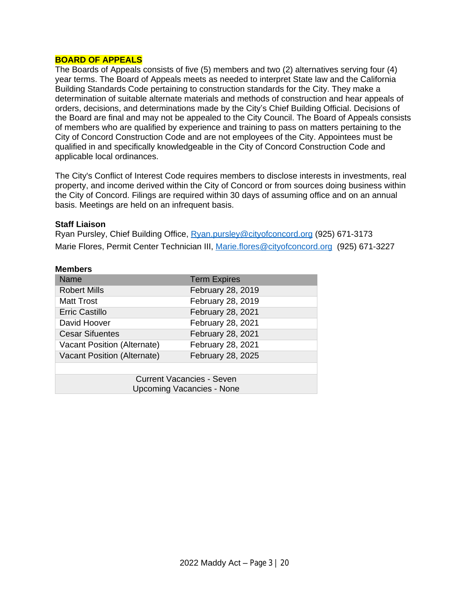#### **BOARD OF APPEALS**

The Boards of Appeals consists of five (5) members and two (2) alternatives serving four (4) year terms. The Board of Appeals meets as needed to interpret State law and the California Building Standards Code pertaining to construction standards for the City. They make a determination of suitable alternate materials and methods of construction and hear appeals of orders, decisions, and determinations made by the City's Chief Building Official. Decisions of the Board are final and may not be appealed to the City Council. The Board of Appeals consists of members who are qualified by experience and training to pass on matters pertaining to the City of Concord Construction Code and are not employees of the City. Appointees must be qualified in and specifically knowledgeable in the City of Concord Construction Code and applicable local ordinances.

The City's Conflict of Interest Code requires members to disclose interests in investments, real property, and income derived within the City of Concord or from sources doing business within the City of Concord. Filings are required within 30 days of assuming office and on an annual basis. Meetings are held on an infrequent basis.

#### **Staff Liaison**

Ryan Pursley, Chief Building Office, [Ryan.pursley@cityofconcord.org](mailto:Ryan.pursley@cityofconcord.org) (925) 671-3173 Marie Flores, Permit Center Technician III, [Marie.flores@cityofconcord.org](mailto:Marie.flores@cityofconcord.org) (925) 671-3227

| <b>Members</b>                   |                     |  |
|----------------------------------|---------------------|--|
| <b>Name</b>                      | <b>Term Expires</b> |  |
| <b>Robert Mills</b>              | February 28, 2019   |  |
| <b>Matt Trost</b>                | February 28, 2019   |  |
| Erric Castillo                   | February 28, 2021   |  |
| David Hoover                     | February 28, 2021   |  |
| <b>Cesar Sifuentes</b>           | February 28, 2021   |  |
| Vacant Position (Alternate)      | February 28, 2021   |  |
| Vacant Position (Alternate)      | February 28, 2025   |  |
|                                  |                     |  |
| Current Vacancies - Seven        |                     |  |
| <b>Upcoming Vacancies - None</b> |                     |  |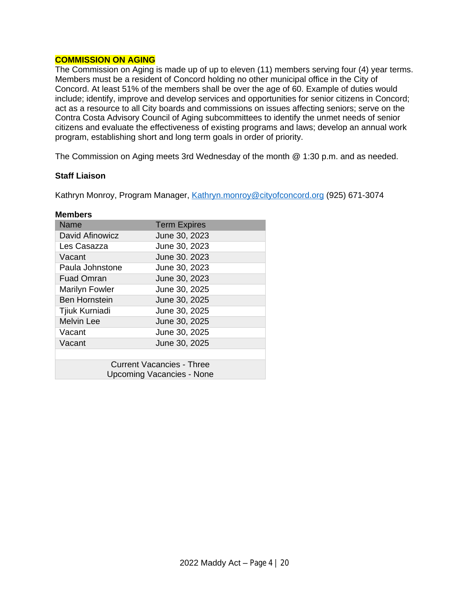## **COMMISSION ON AGING**

The Commission on Aging is made up of up to eleven (11) members serving four (4) year terms. Members must be a resident of Concord holding no other municipal office in the City of Concord. At least 51% of the members shall be over the age of 60. Example of duties would include; identify, improve and develop services and opportunities for senior citizens in Concord; act as a resource to all City boards and commissions on issues affecting seniors; serve on the Contra Costa Advisory Council of Aging subcommittees to identify the unmet needs of senior citizens and evaluate the effectiveness of existing programs and laws; develop an annual work program, establishing short and long term goals in order of priority.

The Commission on Aging meets 3rd Wednesday of the month @ 1:30 p.m. and as needed.

#### **Staff Liaison**

Kathryn Monroy, Program Manager, [Kathryn.monroy@cityofconcord.org](mailto:Kathryn.monroy@cityofconcord.org) (925) 671-3074

| Name                                                          | <b>Term Expires</b> |  |
|---------------------------------------------------------------|---------------------|--|
| David Afinowicz                                               | June 30, 2023       |  |
| Les Casazza                                                   | June 30, 2023       |  |
| Vacant                                                        | June 30, 2023       |  |
| Paula Johnstone                                               | June 30, 2023       |  |
| <b>Fuad Omran</b>                                             | June 30, 2023       |  |
| <b>Marilyn Fowler</b>                                         | June 30, 2025       |  |
| <b>Ben Hornstein</b>                                          | June 30, 2025       |  |
| Tjiuk Kurniadi                                                | June 30, 2025       |  |
| <b>Melvin Lee</b>                                             | June 30, 2025       |  |
| Vacant                                                        | June 30, 2025       |  |
| Vacant                                                        | June 30, 2025       |  |
|                                                               |                     |  |
| <b>Current Vacancies - Three</b><br>Upcoming Vacancies - None |                     |  |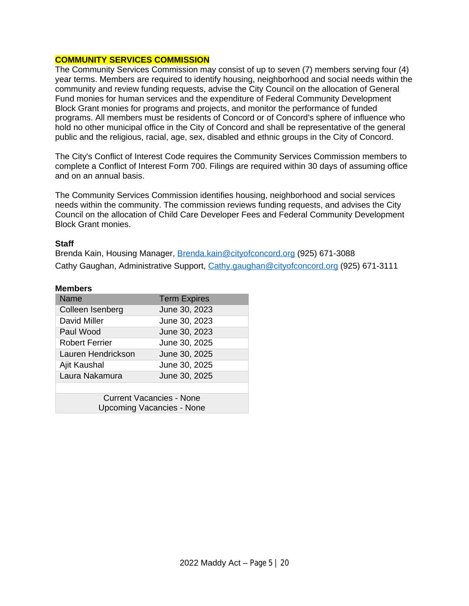#### **COMMUNITY SERVICES COMMISSION**

The Community Services Commission may consist of up to seven (7) members serving four (4) year terms. Members are required to identify housing, neighborhood and social needs within the community and review funding requests, advise the City Council on the allocation of General Fund monies for human services and the expenditure of Federal Community Development Block Grant monies for programs and projects, and monitor the performance of funded programs. All members must be residents of Concord or of Concord's sphere of influence who hold no other municipal office in the City of Concord and shall be representative of the general public and the religious, racial, age, sex, disabled and ethnic groups in the City of Concord.

The City's Conflict of Interest Code requires the Community Services Commission members to complete a Conflict of Interest Form 700. Filings are required within 30 days of assuming office and on an annual basis.

The Community Services Commission identifies housing, neighborhood and social services needs within the community. The commission reviews funding requests, and advises the City Council on the allocation of Child Care Developer Fees and Federal Community Development Block Grant monies.

#### **Staff**

Brenda Kain, Housing Manager, [Brenda.kain@cityofconcord.org](mailto:Brenda.kain@cityofconcord.org) (925) 671-3088 Cathy Gaughan, Administrative Support, [Cathy.gaughan@cityofconcord.org](mailto:Cathy.gaughan@cityofconcord.org) (925) 671-3111

| <b>Name</b>                                                         | <b>Term Expires</b> |  |
|---------------------------------------------------------------------|---------------------|--|
| Colleen Isenberg                                                    | June 30, 2023       |  |
| David Miller                                                        | June 30, 2023       |  |
| Paul Wood                                                           | June 30, 2023       |  |
| <b>Robert Ferrier</b>                                               | June 30, 2025       |  |
| Lauren Hendrickson                                                  | June 30, 2025       |  |
| Ajit Kaushal                                                        | June 30, 2025       |  |
| Laura Nakamura                                                      | June 30, 2025       |  |
|                                                                     |                     |  |
| <b>Current Vacancies - None</b><br><b>Upcoming Vacancies - None</b> |                     |  |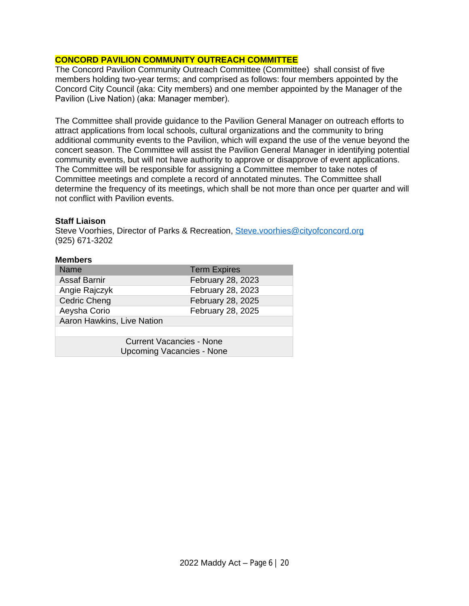## **CONCORD PAVILION COMMUNITY OUTREACH COMMITTEE**

The Concord Pavilion Community Outreach Committee (Committee) shall consist of five members holding two-year terms; and comprised as follows: four members appointed by the Concord City Council (aka: City members) and one member appointed by the Manager of the Pavilion (Live Nation) (aka: Manager member).

The Committee shall provide guidance to the Pavilion General Manager on outreach efforts to attract applications from local schools, cultural organizations and the community to bring additional community events to the Pavilion, which will expand the use of the venue beyond the concert season. The Committee will assist the Pavilion General Manager in identifying potential community events, but will not have authority to approve or disapprove of event applications. The Committee will be responsible for assigning a Committee member to take notes of Committee meetings and complete a record of annotated minutes. The Committee shall determine the frequency of its meetings, which shall be not more than once per quarter and will not conflict with Pavilion events.

#### **Staff Liaison**

Steve Voorhies, Director of Parks & Recreation, [Steve.voorhies@cityofconcord.org](mailto:Steve.voorhies@cityofconcord.org) (925) 671-3202

| <b>Members</b>                   |                     |
|----------------------------------|---------------------|
| <b>Name</b>                      | <b>Term Expires</b> |
| <b>Assaf Barnir</b>              | February 28, 2023   |
| Angie Rajczyk                    | February 28, 2023   |
| <b>Cedric Cheng</b>              | February 28, 2025   |
| Aeysha Corio                     | February 28, 2025   |
| Aaron Hawkins, Live Nation       |                     |
|                                  |                     |
| <b>Current Vacancies - None</b>  |                     |
| <b>Upcoming Vacancies - None</b> |                     |
|                                  |                     |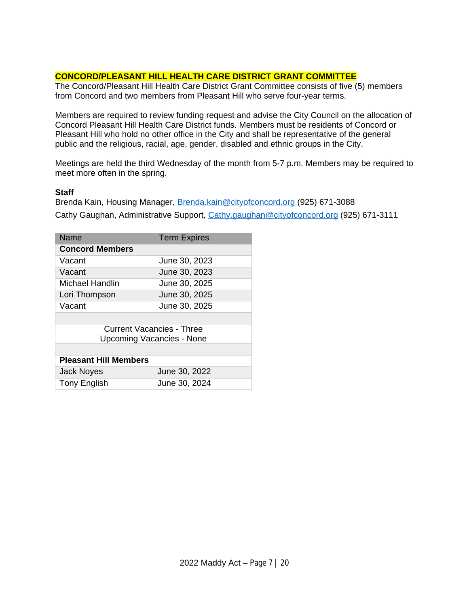## **CONCORD/PLEASANT HILL HEALTH CARE DISTRICT GRANT COMMITTEE**

The Concord/Pleasant Hill Health Care District Grant Committee consists of five (5) members from Concord and two members from Pleasant Hill who serve four-year terms.

Members are required to review funding request and advise the City Council on the allocation of Concord Pleasant Hill Health Care District funds. Members must be residents of Concord or Pleasant Hill who hold no other office in the City and shall be representative of the general public and the religious, racial, age, gender, disabled and ethnic groups in the City.

Meetings are held the third Wednesday of the month from 5-7 p.m. Members may be required to meet more often in the spring.

#### **Staff**

Brenda Kain, Housing Manager, [Brenda.kain@cityofconcord.org](mailto:Brenda.kain@cityofconcord.org) (925) 671-3088 Cathy Gaughan, Administrative Support, [Cathy.gaughan@cityofconcord.org](mailto:Cathy.gaughan@cityofconcord.org) (925) 671-3111

| Name                         | <b>Term Expires</b> |  |
|------------------------------|---------------------|--|
| <b>Concord Members</b>       |                     |  |
| Vacant                       | June 30, 2023       |  |
| Vacant                       | June 30, 2023       |  |
| Michael Handlin              | June 30, 2025       |  |
| Lori Thompson                | June 30, 2025       |  |
| Vacant                       | June 30, 2025       |  |
|                              |                     |  |
| Current Vacancies - Three    |                     |  |
| Upcoming Vacancies - None    |                     |  |
|                              |                     |  |
| <b>Pleasant Hill Members</b> |                     |  |
| <b>Jack Noyes</b>            | June 30, 2022       |  |
| <b>Tony English</b>          | June 30, 2024       |  |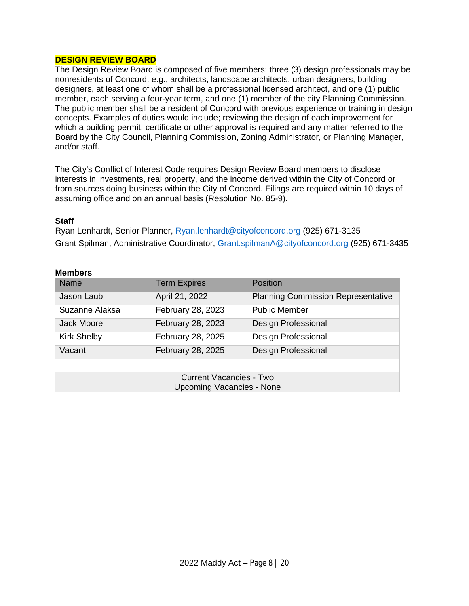## **DESIGN REVIEW BOARD**

The Design Review Board is composed of five members: three (3) design professionals may be nonresidents of Concord, e.g., architects, landscape architects, urban designers, building designers, at least one of whom shall be a professional licensed architect, and one (1) public member, each serving a four-year term, and one (1) member of the city Planning Commission. The public member shall be a resident of Concord with previous experience or training in design concepts. Examples of duties would include; reviewing the design of each improvement for which a building permit, certificate or other approval is required and any matter referred to the Board by the City Council, Planning Commission, Zoning Administrator, or Planning Manager, and/or staff.

The City's Conflict of Interest Code requires Design Review Board members to disclose interests in investments, real property, and the income derived within the City of Concord or from sources doing business within the City of Concord. Filings are required within 10 days of assuming office and on an annual basis (Resolution No. 85-9).

#### **Staff**

Ryan Lenhardt, Senior Planner, [Ryan.lenhardt@cityofconcord.org](mailto:Ryan.lenhardt@cityofconcord.org) (925) 671-3135 Grant Spilman, Administrative Coordinator, [Grant.spilmanA@cityofconcord.org](mailto:Grant.spilmanA@cityofconcord.org) (925) 671-3435

#### **Members**

| <b>Name</b>        | <b>Term Expires</b> | Position                                  |
|--------------------|---------------------|-------------------------------------------|
| Jason Laub         | April 21, 2022      | <b>Planning Commission Representative</b> |
| Suzanne Alaksa     | February 28, 2023   | <b>Public Member</b>                      |
| Jack Moore         | February 28, 2023   | <b>Design Professional</b>                |
| <b>Kirk Shelby</b> | February 28, 2025   | <b>Design Professional</b>                |
| Vacant             | February 28, 2025   | <b>Design Professional</b>                |
|                    |                     |                                           |

Current Vacancies - Two Upcoming Vacancies - None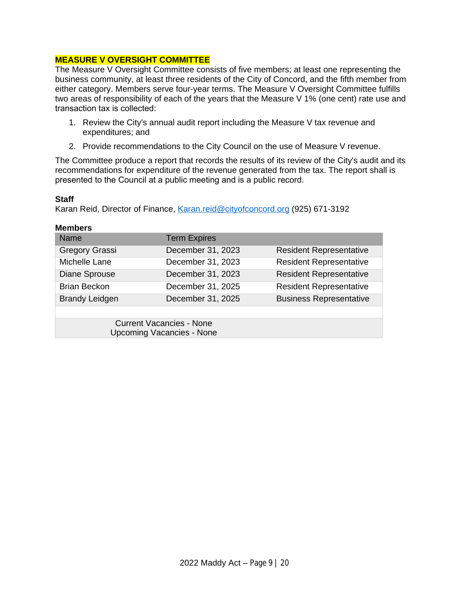## **MEASURE V OVERSIGHT COMMITTEE**

The Measure V Oversight Committee consists of five members; at least one representing the business community, at least three residents of the City of Concord, and the fifth member from either category. Members serve four-year terms. The Measure V Oversight Committee fulfills two areas of responsibility of each of the years that the Measure V 1% (one cent) rate use and transaction tax is collected:

- 1. Review the City's annual audit report including the Measure V tax revenue and expenditures; and
- 2. Provide recommendations to the City Council on the use of Measure V revenue.

The Committee produce a report that records the results of its review of the City's audit and its recommendations for expenditure of the revenue generated from the tax. The report shall is presented to the Council at a public meeting and is a public record.

#### **Staff**

Karan Reid, Director of Finance, [Karan.reid@cityofconcord.org](mailto:Karan.reid@cityofconcord.org) (925) 671-3192

| <b>Members</b> |
|----------------|
|----------------|

| <b>Name</b>                                                         | <b>Term Expires</b> |                                |
|---------------------------------------------------------------------|---------------------|--------------------------------|
| Gregory Grassi                                                      | December 31, 2023   | <b>Resident Representative</b> |
| Michelle Lane                                                       | December 31, 2023   | <b>Resident Representative</b> |
| <b>Diane Sprouse</b>                                                | December 31, 2023   | <b>Resident Representative</b> |
| <b>Brian Beckon</b>                                                 | December 31, 2025   | <b>Resident Representative</b> |
| <b>Brandy Leidgen</b>                                               | December 31, 2025   | <b>Business Representative</b> |
|                                                                     |                     |                                |
| <b>Current Vacancies - None</b><br><b>Upcoming Vacancies - None</b> |                     |                                |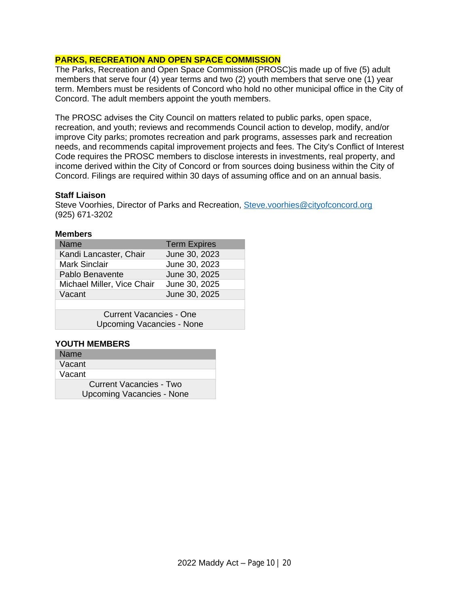## **PARKS, RECREATION AND OPEN SPACE COMMISSION**

The Parks, Recreation and Open Space Commission (PROSC)is made up of five (5) adult members that serve four (4) year terms and two (2) youth members that serve one (1) year term. Members must be residents of Concord who hold no other municipal office in the City of Concord. The adult members appoint the youth members.

The PROSC advises the City Council on matters related to public parks, open space, recreation, and youth; reviews and recommends Council action to develop, modify, and/or improve City parks; promotes recreation and park programs, assesses park and recreation needs, and recommends capital improvement projects and fees. The City's Conflict of Interest Code requires the PROSC members to disclose interests in investments, real property, and income derived within the City of Concord or from sources doing business within the City of Concord. Filings are required within 30 days of assuming office and on an annual basis.

#### **Staff Liaison**

Steve Voorhies, Director of Parks and Recreation, [Steve.voorhies@cityofconcord.org](mailto:Steve.voorhies@cityofconcord.org) (925) 671-3202

#### **Members**

| Name                           | <b>Term Expires</b> |  |
|--------------------------------|---------------------|--|
| Kandi Lancaster, Chair         | June 30, 2023       |  |
| <b>Mark Sinclair</b>           | June 30, 2023       |  |
| Pablo Benavente                | June 30, 2025       |  |
| Michael Miller, Vice Chair     | June 30, 2025       |  |
| Vacant                         | June 30, 2025       |  |
|                                |                     |  |
| <b>Current Vacancies - One</b> |                     |  |

Upcoming Vacancies - None

#### **YOUTH MEMBERS**

| <b>Name</b>                    |
|--------------------------------|
| Vacant                         |
| Vacant                         |
| <b>Current Vacancies - Two</b> |
| Upcoming Vacancies - None      |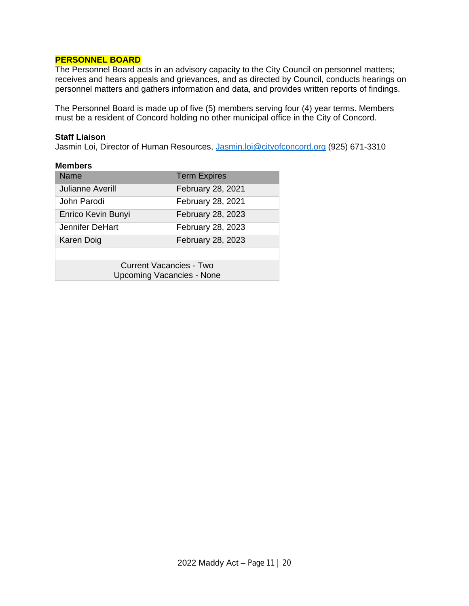#### **PERSONNEL BOARD**

The Personnel Board acts in an advisory capacity to the City Council on personnel matters; receives and hears appeals and grievances, and as directed by Council, conducts hearings on personnel matters and gathers information and data, and provides written reports of findings.

The Personnel Board is made up of five (5) members serving four (4) year terms. Members must be a resident of Concord holding no other municipal office in the City of Concord.

#### **Staff Liaison**

Jasmin Loi, Director of Human Resources, [Jasmin.loi@cityofconcord.org](mailto:Jasmin.loi@cityofconcord.org) (925) 671-3310

| <b>Members</b>                   |                     |
|----------------------------------|---------------------|
| Name                             | <b>Term Expires</b> |
| Julianne Averill                 | February 28, 2021   |
| John Parodi                      | February 28, 2021   |
| Enrico Kevin Bunyi               | February 28, 2023   |
| Jennifer DeHart                  | February 28, 2023   |
| Karen Doig                       | February 28, 2023   |
|                                  |                     |
| <b>Current Vacancies - Two</b>   |                     |
| <b>Upcoming Vacancies - None</b> |                     |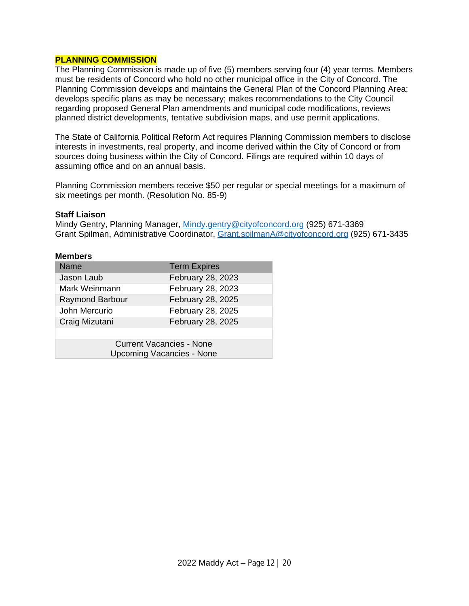#### **PLANNING COMMISSION**

The Planning Commission is made up of five (5) members serving four (4) year terms. Members must be residents of Concord who hold no other municipal office in the City of Concord. The Planning Commission develops and maintains the General Plan of the Concord Planning Area; develops specific plans as may be necessary; makes recommendations to the City Council regarding proposed General Plan amendments and municipal code modifications, reviews planned district developments, tentative subdivision maps, and use permit applications.

The State of California Political Reform Act requires Planning Commission members to disclose interests in investments, real property, and income derived within the City of Concord or from sources doing business within the City of Concord. Filings are required within 10 days of assuming office and on an annual basis.

Planning Commission members receive \$50 per regular or special meetings for a maximum of six meetings per month. (Resolution No. 85-9)

#### **Staff Liaison**

Mindy Gentry, Planning Manager, [Mindy.gentry@cityofconcord.org](mailto:Mindy.gentry@cityofconcord.org) (925) 671-3369 Grant Spilman, Administrative Coordinator, [Grant.spilmanA@cityofconcord.org](mailto:Grant.spilmanA@cityofconcord.org) (925) 671-3435

| <b>Name</b>                                                         | <b>Term Expires</b> |
|---------------------------------------------------------------------|---------------------|
| Jason Laub                                                          | February 28, 2023   |
| Mark Weinmann                                                       | February 28, 2023   |
| <b>Raymond Barbour</b>                                              | February 28, 2025   |
| John Mercurio                                                       | February 28, 2025   |
| Craig Mizutani                                                      | February 28, 2025   |
|                                                                     |                     |
| <b>Current Vacancies - None</b><br><b>Upcoming Vacancies - None</b> |                     |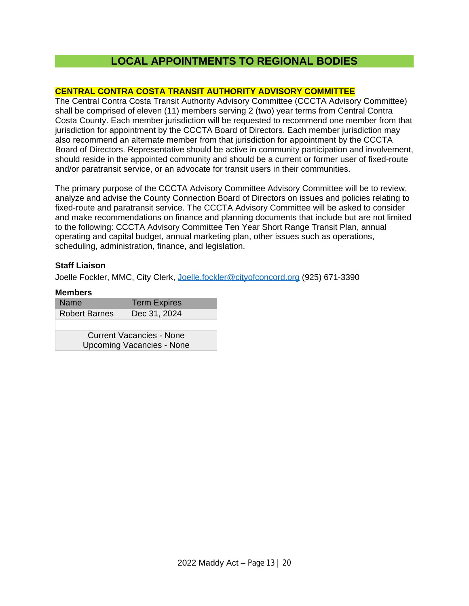## **LOCAL APPOINTMENTS TO REGIONAL BODIES**

## **CENTRAL CONTRA COSTA TRANSIT AUTHORITY ADVISORY COMMITTEE**

The Central Contra Costa Transit Authority Advisory Committee (CCCTA Advisory Committee) shall be comprised of eleven (11) members serving 2 (two) year terms from Central Contra Costa County. Each member jurisdiction will be requested to recommend one member from that jurisdiction for appointment by the CCCTA Board of Directors. Each member jurisdiction may also recommend an alternate member from that jurisdiction for appointment by the CCCTA Board of Directors. Representative should be active in community participation and involvement, should reside in the appointed community and should be a current or former user of fixed-route and/or paratransit service, or an advocate for transit users in their communities.

The primary purpose of the CCCTA Advisory Committee Advisory Committee will be to review, analyze and advise the County Connection Board of Directors on issues and policies relating to fixed-route and paratransit service. The CCCTA Advisory Committee will be asked to consider and make recommendations on finance and planning documents that include but are not limited to the following: CCCTA Advisory Committee Ten Year Short Range Transit Plan, annual operating and capital budget, annual marketing plan, other issues such as operations, scheduling, administration, finance, and legislation.

## **Staff Liaison**

Joelle Fockler, MMC, City Clerk, [Joelle.fockler@cityofconcord.org](mailto:Joelle.fockler@cityofconcord.org) (925) 671-3390

| Name                             | <b>Term Expires</b> |
|----------------------------------|---------------------|
| <b>Robert Barnes</b>             | Dec 31, 2024        |
|                                  |                     |
| <b>Current Vacancies - None</b>  |                     |
| <b>Upcoming Vacancies - None</b> |                     |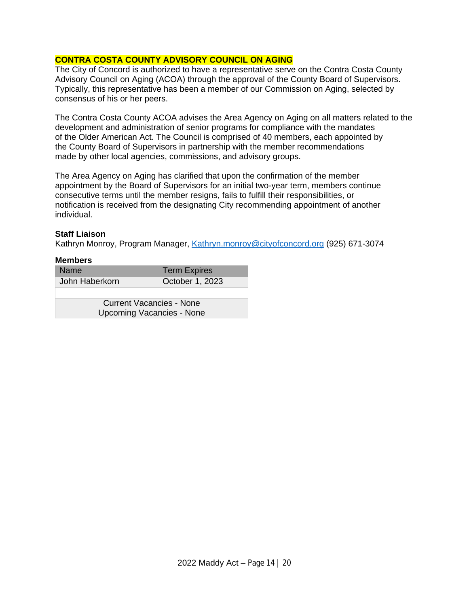## **CONTRA COSTA COUNTY ADVISORY COUNCIL ON AGING**

The City of Concord is authorized to have a representative serve on the Contra Costa County Advisory Council on Aging (ACOA) through the approval of the County Board of Supervisors. Typically, this representative has been a member of our Commission on Aging, selected by consensus of his or her peers.

The Contra Costa County ACOA advises the Area Agency on Aging on all matters related to the development and administration of senior programs for compliance with the mandates of the Older American Act. The Council is comprised of 40 members, each appointed by the County Board of Supervisors in partnership with the member recommendations made by other local agencies, commissions, and advisory groups.

The Area Agency on Aging has clarified that upon the confirmation of the member appointment by the Board of Supervisors for an initial two-year term, members continue consecutive terms until the member resigns, fails to fulfill their responsibilities, or notification is received from the designating City recommending appointment of another individual.

## **Staff Liaison**

Kathryn Monroy, Program Manager, [Kathryn.monroy@cityofconcord.org](mailto:Kathryn.monroy@cityofconcord.org) (925) 671-3074

| <b>Members</b>                   |                     |
|----------------------------------|---------------------|
| <b>Name</b>                      | <b>Term Expires</b> |
| John Haberkorn                   | October 1, 2023     |
|                                  |                     |
| <b>Current Vacancies - None</b>  |                     |
|                                  |                     |
| <b>Upcoming Vacancies - None</b> |                     |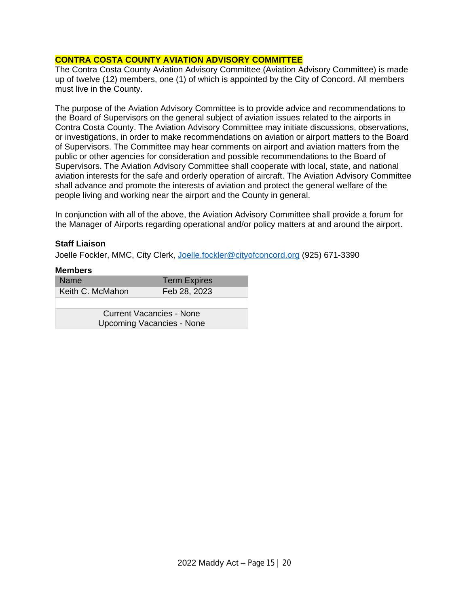## **CONTRA COSTA COUNTY AVIATION ADVISORY COMMITTEE**

The Contra Costa County Aviation Advisory Committee (Aviation Advisory Committee) is made up of twelve (12) members, one (1) of which is appointed by the City of Concord. All members must live in the County.

The purpose of the Aviation Advisory Committee is to provide advice and recommendations to the Board of Supervisors on the general subject of aviation issues related to the airports in Contra Costa County. The Aviation Advisory Committee may initiate discussions, observations, or investigations, in order to make recommendations on aviation or airport matters to the Board of Supervisors. The Committee may hear comments on airport and aviation matters from the public or other agencies for consideration and possible recommendations to the Board of Supervisors. The Aviation Advisory Committee shall cooperate with local, state, and national aviation interests for the safe and orderly operation of aircraft. The Aviation Advisory Committee shall advance and promote the interests of aviation and protect the general welfare of the people living and working near the airport and the County in general.

In conjunction with all of the above, the Aviation Advisory Committee shall provide a forum for the Manager of Airports regarding operational and/or policy matters at and around the airport.

## **Staff Liaison**

Joelle Fockler, MMC, City Clerk, [Joelle.fockler@cityofconcord.org](mailto:Joelle.fockler@cityofconcord.org) (925) 671-3390

| <b>Members</b> |  |
|----------------|--|
|                |  |

| <b>Name</b>                                                         | <b>Term Expires</b> |  |
|---------------------------------------------------------------------|---------------------|--|
| Keith C. McMahon                                                    | Feb 28, 2023        |  |
|                                                                     |                     |  |
| <b>Current Vacancies - None</b><br><b>Upcoming Vacancies - None</b> |                     |  |
|                                                                     |                     |  |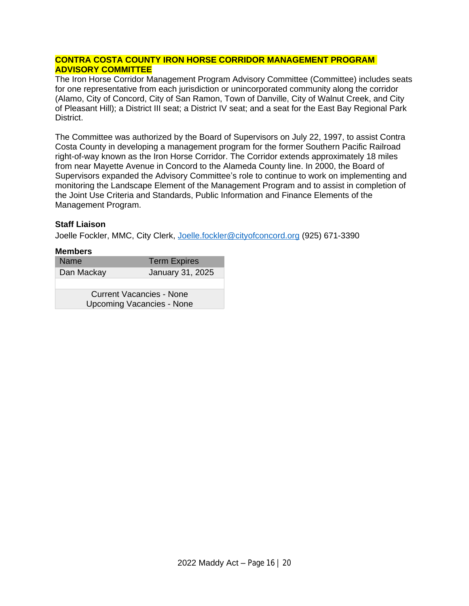## **CONTRA COSTA COUNTY IRON HORSE CORRIDOR MANAGEMENT PROGRAM ADVISORY COMMITTEE**

The Iron Horse Corridor Management Program Advisory Committee (Committee) includes seats for one representative from each jurisdiction or unincorporated community along the corridor (Alamo, City of Concord, City of San Ramon, Town of Danville, City of Walnut Creek, and City of Pleasant Hill); a District III seat; a District IV seat; and a seat for the East Bay Regional Park District.

The Committee was authorized by the Board of Supervisors on July 22, 1997, to assist Contra Costa County in developing a management program for the former Southern Pacific Railroad right-of-way known as the Iron Horse Corridor. The Corridor extends approximately 18 miles from near Mayette Avenue in Concord to the Alameda County line. In 2000, the Board of Supervisors expanded the Advisory Committee's role to continue to work on implementing and monitoring the Landscape Element of the Management Program and to assist in completion of the Joint Use Criteria and Standards, Public Information and Finance Elements of the Management Program.

## **Staff Liaison**

Joelle Fockler, MMC, City Clerk, [Joelle.fockler@cityofconcord.org](mailto:Joelle.fockler@cityofconcord.org) (925) 671-3390

| Name                             | <b>Term Expires</b> |
|----------------------------------|---------------------|
| Dan Mackay                       | January 31, 2025    |
|                                  |                     |
| <b>Current Vacancies - None</b>  |                     |
| <b>Upcoming Vacancies - None</b> |                     |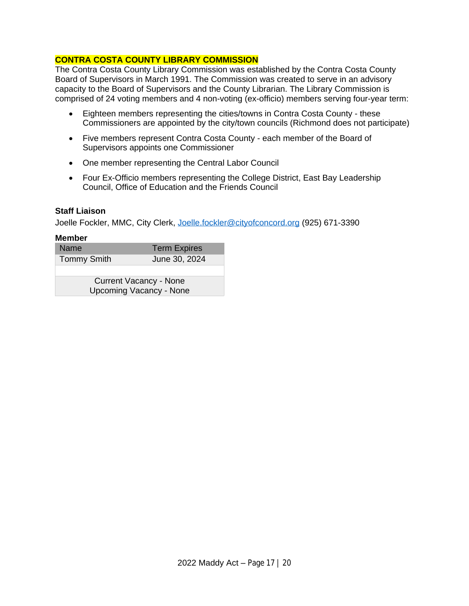## **CONTRA COSTA COUNTY LIBRARY COMMISSION**

The Contra Costa County Library Commission was established by the Contra Costa County Board of Supervisors in March 1991. The Commission was created to serve in an advisory capacity to the Board of Supervisors and the County Librarian. The Library Commission is comprised of 24 voting members and 4 non-voting (ex-officio) members serving four-year term:

- Eighteen members representing the cities/towns in Contra Costa County these Commissioners are appointed by the city/town councils (Richmond does not participate)
- Five members represent Contra Costa County each member of the Board of Supervisors appoints one Commissioner
- One member representing the Central Labor Council
- Four Ex-Officio members representing the College District, East Bay Leadership Council, Office of Education and the Friends Council

#### **Staff Liaison**

Joelle Fockler, MMC, City Clerk, [Joelle.fockler@cityofconcord.org](mailto:Joelle.fockler@cityofconcord.org) (925) 671-3390

| <b>Name</b>                    | <b>Term Expires</b> |
|--------------------------------|---------------------|
| <b>Tommy Smith</b>             | June 30, 2024       |
|                                |                     |
| <b>Current Vacancy - None</b>  |                     |
| <b>Upcoming Vacancy - None</b> |                     |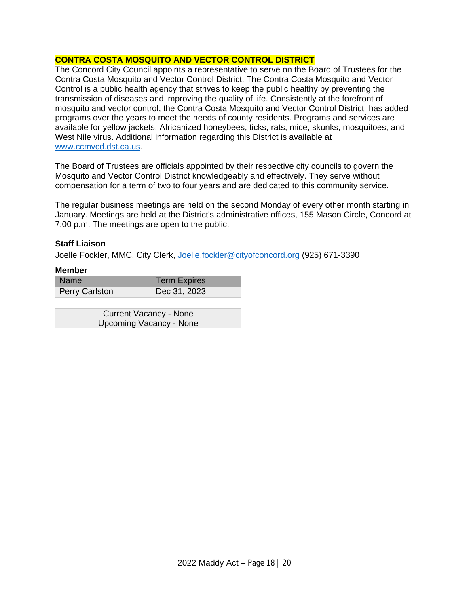## **CONTRA COSTA MOSQUITO AND VECTOR CONTROL DISTRICT**

The Concord City Council appoints a representative to serve on the Board of Trustees for the Contra Costa Mosquito and Vector Control District. The Contra Costa Mosquito and Vector Control is a public health agency that strives to keep the public healthy by preventing the transmission of diseases and improving the quality of life. Consistently at the forefront of mosquito and vector control, the Contra Costa Mosquito and Vector Control District has added programs over the years to meet the needs of county residents. Programs and services are available for yellow jackets, Africanized honeybees, ticks, rats, mice, skunks, mosquitoes, and West Nile virus. Additional information regarding this District is available at [www.ccmvcd.dst.ca.us](http://www.ccmvcd.dst.ca.us).

The Board of Trustees are officials appointed by their respective city councils to govern the Mosquito and Vector Control District knowledgeably and effectively. They serve without compensation for a term of two to four years and are dedicated to this community service.

The regular business meetings are held on the second Monday of every other month starting in January. Meetings are held at the District's administrative offices, 155 Mason Circle, Concord at 7:00 p.m. The meetings are open to the public.

#### **Staff Liaison**

Joelle Fockler, MMC, City Clerk, [Joelle.fockler@cityofconcord.org](mailto:Joelle.fockler@cityofconcord.org) (925) 671-3390

| <b>Member</b>                                                   |                     |
|-----------------------------------------------------------------|---------------------|
| <b>Name</b>                                                     | <b>Term Expires</b> |
| Perry Carlston                                                  | Dec 31, 2023        |
|                                                                 |                     |
| <b>Current Vacancy - None</b><br><b>Upcoming Vacancy - None</b> |                     |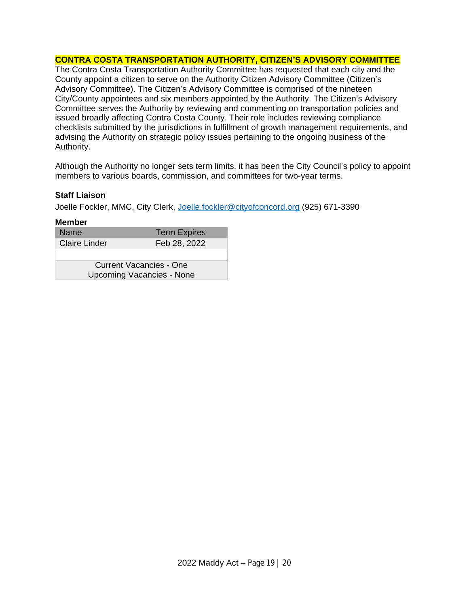## **CONTRA COSTA TRANSPORTATION AUTHORITY, CITIZEN'S ADVISORY COMMITTEE**

The Contra Costa Transportation Authority Committee has requested that each city and the County appoint a citizen to serve on the Authority Citizen Advisory Committee (Citizen's Advisory Committee). The Citizen's Advisory Committee is comprised of the nineteen City/County appointees and six members appointed by the Authority. The Citizen's Advisory Committee serves the Authority by reviewing and commenting on transportation policies and issued broadly affecting Contra Costa County. Their role includes reviewing compliance checklists submitted by the jurisdictions in fulfillment of growth management requirements, and advising the Authority on strategic policy issues pertaining to the ongoing business of the Authority.

Although the Authority no longer sets term limits, it has been the City Council's policy to appoint members to various boards, commission, and committees for two-year terms.

#### **Staff Liaison**

Joelle Fockler, MMC, City Clerk, [Joelle.fockler@cityofconcord.org](mailto:Joelle.fockler@cityofconcord.org) (925) 671-3390

| <b>Member</b>                    |                     |
|----------------------------------|---------------------|
| Name                             | <b>Term Expires</b> |
| <b>Claire Linder</b>             | Feb 28, 2022        |
|                                  |                     |
| <b>Current Vacancies - One</b>   |                     |
| <b>Upcoming Vacancies - None</b> |                     |